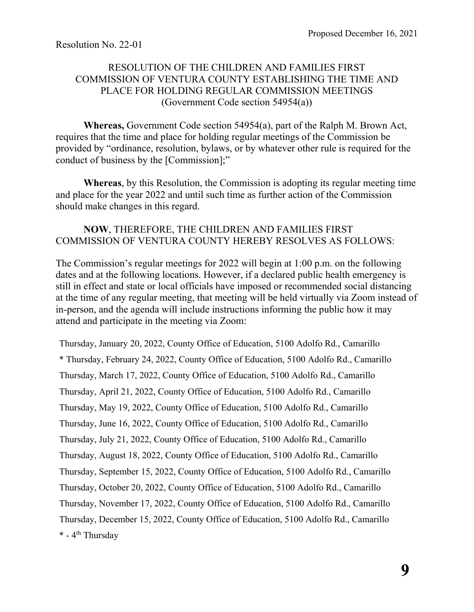## RESOLUTION OF THE CHILDREN AND FAMILIES FIRST COMMISSION OF VENTURA COUNTY ESTABLISHING THE TIME AND PLACE FOR HOLDING REGULAR COMMISSION MEETINGS (Government Code section 54954(a))

**Whereas,** Government Code section 54954(a), part of the Ralph M. Brown Act, requires that the time and place for holding regular meetings of the Commission be provided by "ordinance, resolution, bylaws, or by whatever other rule is required for the conduct of business by the [Commission];"

**Whereas**, by this Resolution, the Commission is adopting its regular meeting time and place for the year 2022 and until such time as further action of the Commission should make changes in this regard.

## **NOW**, THEREFORE, THE CHILDREN AND FAMILIES FIRST COMMISSION OF VENTURA COUNTY HEREBY RESOLVES AS FOLLOWS:

The Commission's regular meetings for 2022 will begin at 1:00 p.m. on the following dates and at the following locations. However, if a declared public health emergency is still in effect and state or local officials have imposed or recommended social distancing at the time of any regular meeting, that meeting will be held virtually via Zoom instead of in-person, and the agenda will include instructions informing the public how it may attend and participate in the meeting via Zoom:

Thursday, January 20, 2022, County Office of Education, 5100 Adolfo Rd., Camarillo \* Thursday, February 24, 2022, County Office of Education, 5100 Adolfo Rd., Camarillo Thursday, March 17, 2022, County Office of Education, 5100 Adolfo Rd., Camarillo Thursday, April 21, 2022, County Office of Education, 5100 Adolfo Rd., Camarillo Thursday, May 19, 2022, County Office of Education, 5100 Adolfo Rd., Camarillo Thursday, June 16, 2022, County Office of Education, 5100 Adolfo Rd., Camarillo Thursday, July 21, 2022, County Office of Education, 5100 Adolfo Rd., Camarillo Thursday, August 18, 2022, County Office of Education, 5100 Adolfo Rd., Camarillo Thursday, September 15, 2022, County Office of Education, 5100 Adolfo Rd., Camarillo Thursday, October 20, 2022, County Office of Education, 5100 Adolfo Rd., Camarillo Thursday, November 17, 2022, County Office of Education, 5100 Adolfo Rd., Camarillo Thursday, December 15, 2022, County Office of Education, 5100 Adolfo Rd., Camarillo \* - 4<sup>th</sup> Thursday